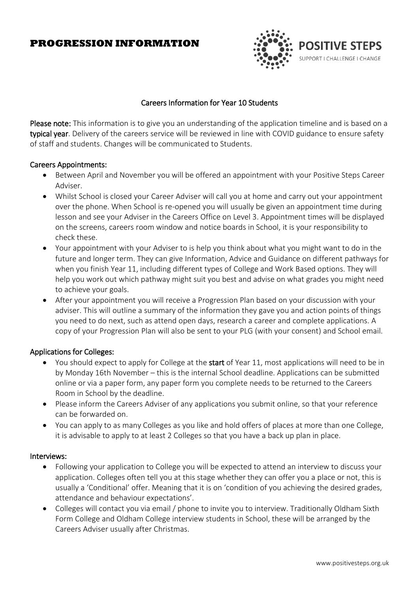# **PROGRESSION INFORMATION**



# Careers Information for Year 10 Students

Please note: This information is to give you an understanding of the application timeline and is based on a typical year. Delivery of the careers service will be reviewed in line with COVID guidance to ensure safety of staff and students. Changes will be communicated to Students.

## Careers Appointments:

- Between April and November you will be offered an appointment with your Positive Steps Career Adviser.
- Whilst School is closed your Career Adviser will call you at home and carry out your appointment over the phone. When School is re-opened you will usually be given an appointment time during lesson and see your Adviser in the Careers Office on Level 3. Appointment times will be displayed on the screens, careers room window and notice boards in School, it is your responsibility to check these.
- Your appointment with your Adviser to is help you think about what you might want to do in the future and longer term. They can give Information, Advice and Guidance on different pathways for when you finish Year 11, including different types of College and Work Based options. They will help you work out which pathway might suit you best and advise on what grades you might need to achieve your goals.
- After your appointment you will receive a Progression Plan based on your discussion with your adviser. This will outline a summary of the information they gave you and action points of things you need to do next, such as attend open days, research a career and complete applications. A copy of your Progression Plan will also be sent to your PLG (with your consent) and School email.

## Applications for Colleges:

- You should expect to apply for College at the start of Year 11, most applications will need to be in by Monday 16th November – this is the internal School deadline. Applications can be submitted online or via a paper form, any paper form you complete needs to be returned to the Careers Room in School by the deadline.
- Please inform the Careers Adviser of any applications you submit online, so that your reference can be forwarded on.
- You can apply to as many Colleges as you like and hold offers of places at more than one College, it is advisable to apply to at least 2 Colleges so that you have a back up plan in place.

#### Interviews:

- Following your application to College you will be expected to attend an interview to discuss your application. Colleges often tell you at this stage whether they can offer you a place or not, this is usually a 'Conditional' offer. Meaning that it is on 'condition of you achieving the desired grades, attendance and behaviour expectations'.
- Colleges will contact you via email / phone to invite you to interview. Traditionally Oldham Sixth Form College and Oldham College interview students in School, these will be arranged by the Careers Adviser usually after Christmas.